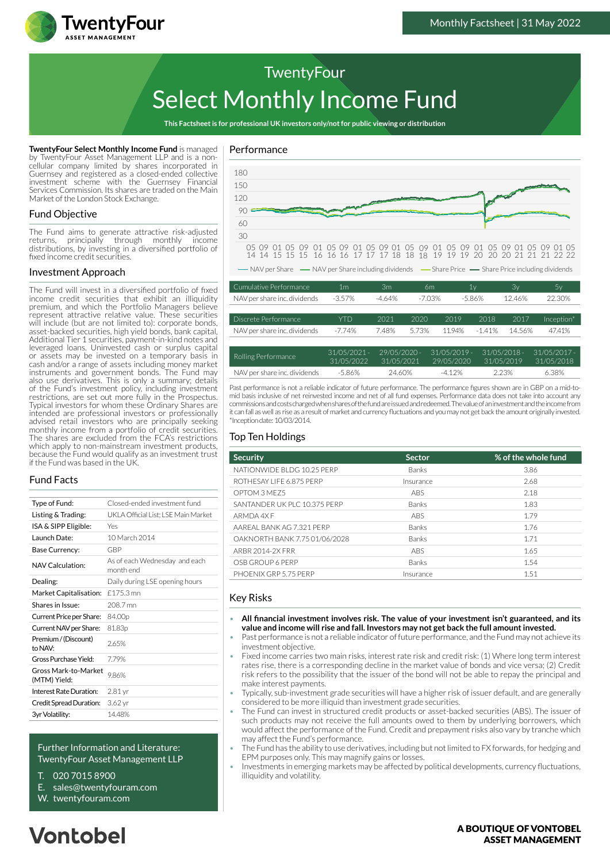

# Select Monthly Income Fund **TwentyFour**

**This Factsheet is for professional UK investors only/not for public viewing or distribution**

**TwentyFour Select Monthly Income Fund** is managed by TwentyFour Asset Management LLP and is a noncellular company limited by shares incorporated in Guernsey and registered as a closed-ended collective investment scheme with the Guernsey Financial Services Commission. Its shares are traded on the Main Market of the London Stock Exchange.

# Fund Objective

The Fund aims to generate attractive risk-adjusted returns, principally through monthly income distributions, by investing in a diversified portfolio of fixed income credit securities.

# Investment Approach

The Fund will invest in a diversified portfolio of fixed income credit securities that exhibit an illiquidity premium, and which the Portfolio Managers believe represent attractive relative value. These securities will include (but are not limited to): corporate bonds, asset-backed securities, high yield bonds, bank capital, Additional Tier 1 securities, payment-in-kind notes and leveraged loans. Uninvested cash or surplus capital or assets may be invested on a temporary basis in cash and/or a range of assets including money market instruments and government bonds. The Fund may also use derivatives. This is only a summary; details of the Fund's investment policy, including investment restrictions, are set out more fully in the Prospectus. Typical investors for whom these Ordinary Shares are intended are professional investors or professionally advised retail investors who are principally seeking monthly income from a portfolio of credit securities. The shares are excluded from the FCA's restrictions which apply to non-mainstream investment products. because the Fund would qualify as an investment trust if the Fund was based in the UK.

# Fund Facts

| Type of Fund:                        | Closed-ended investment fund               |  |
|--------------------------------------|--------------------------------------------|--|
| Listing & Trading:                   | UKLA Official List: LSE Main Market        |  |
| ISA & SIPP Eligible:                 | Yes                                        |  |
| Launch Date:                         | 10 March 2014                              |  |
| Base Currency:                       | GBP                                        |  |
| NAV Calculation:                     | As of each Wednesday and each<br>month end |  |
| Dealing:                             | Daily during LSE opening hours             |  |
| Market Capitalisation:               | £175.3 mn                                  |  |
| Shares in Issue:                     | 208.7 mn                                   |  |
| Current Price per Share:             | 84.00p                                     |  |
| Current NAV per Share:               | 81.83p                                     |  |
| Premium / (Discount)<br>to NAV:      | 265%                                       |  |
| Gross Purchase Yield:                | 779%                                       |  |
| Gross Mark-to-Market<br>(MTM) Yield: | 9.86%                                      |  |
| Interest Rate Duration:              | 2.81 yr                                    |  |
| Credit Spread Duration:              | 3.62 yr                                    |  |
| 3yr Volatility:                      | 1448%                                      |  |
|                                      |                                            |  |

#### Further Information and Literature: TwentyFour Asset Management LLP

- T. 020 7015 8900
- E. sales@twentyfouram.com
- W. [twentyfouram.com](http://www.twentyfouram.com)

# Performance



| Rolling Performance          | $31/05/2021 -$ | $29/05/2020 -$ | $.31/05/2019 -$ | $31/05/2018 -$ | $31/05/2017 -$ |
|------------------------------|----------------|----------------|-----------------|----------------|----------------|
|                              | 31/05/2022     | 31/05/2021     | 29/05/2020      | 31/05/2019     | 31/05/2018     |
| NAV per share inc. dividends | -5.86%         | 24.60%         | $-412%$         | 223%           | 6.38%          |

Past performance is not a reliable indicator of future performance. The performance figures shown are in GBP on a mid-tomid basis inclusive of net reinvested income and net of all fund expenses. Performance data does not take into account any commissions and costs charged when shares of the fund are issued and redeemed. The value of an investment and the income from it can fall as well as rise as a result of market and currency fluctuations and you may not get back the amount originally invested. \*Inception date: 10/03/2014.

# Top Ten Holdings

| <b>Security</b>               | <b>Sector</b> | % of the whole fund |
|-------------------------------|---------------|---------------------|
| NATIONWIDE BLDG 10.25 PERP    | <b>Banks</b>  | 3.86                |
| ROTHESAY LIFE 6.875 PERP      | Insurance     | 2.68                |
| OPTOM 3 MEZ5                  | <b>ABS</b>    | 2.18                |
| SANTANDER UK PLC 10.375 PERP  | Banks         | 1.83                |
| ARMDA 4X F                    | <b>ABS</b>    | 1.79                |
| AARFAL BANK AG 7.321 PERP     | Banks         | 1.76                |
| OAKNORTH BANK 7.75 01/06/2028 | Banks         | 1.71                |
| <b>ARBR 2014-2X FRR</b>       | <b>ABS</b>    | 1.65                |
| OSB GROUP 6 PERP              | <b>Banks</b>  | 1.54                |
| PHOFNIX GRP 5.75 PERP         | Insurance     | 1.51                |

# Key Risks

- **All financial investment involves risk. The value of your investment isn't guaranteed, and its value and income will rise and fall. Investors may not get back the full amount invested.**
- Past performance is not a reliable indicator of future performance, and the Fund may not achieve its investment objective.
- Fixed income carries two main risks, interest rate risk and credit risk: (1) Where long term interest rates rise, there is a corresponding decline in the market value of bonds and vice versa; (2) Credit risk refers to the possibility that the issuer of the bond will not be able to repay the principal and make interest payments.
- Typically, sub-investment grade securities will have a higher risk of issuer default, and are generally considered to be more illiquid than investment grade securities.
- The Fund can invest in structured credit products or asset-backed securities (ABS). The issuer of such products may not receive the full amounts owed to them by underlying borrowers, which would affect the performance of the Fund. Credit and prepayment risks also vary by tranche which may affect the Fund's performance.
- The Fund has the ability to use derivatives, including but not limited to FX forwards, for hedging and EPM purposes only. This may magnify gains or losses.
- Investments in emerging markets may be affected by political developments, currency fluctuations, illiquidity and volatility.

#### A BOUTIOUE OF VONTOBEL **ASSET MANAGEMENT**

# **Vontobel**